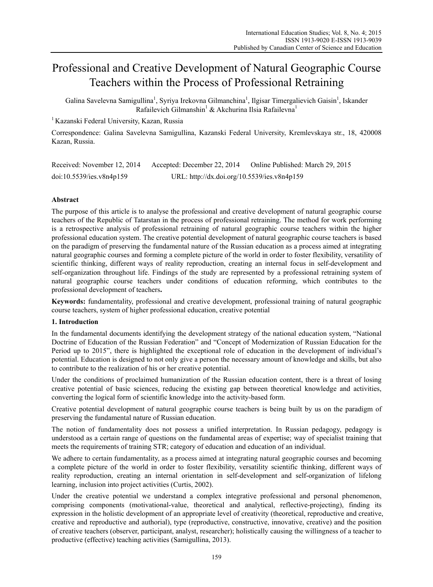# Professional and Creative Development of Natural Geographic Course Teachers within the Process of Professional Retraining

Galina Savelevna Samigullina<sup>1</sup>, Syriya Irekovna Gilmanchina<sup>1</sup>, Ilgisar Timergalievich Gaisin<sup>1</sup>, Iskander Rafailevich Gilmanshin<sup>1</sup> & Akchurina Ilsia Rafailevna<sup>1</sup>

<sup>1</sup> Kazanski Federal University, Kazan, Russia

Correspondence: Galina Savelevna Samigullina, Kazanski Federal University, Kremlevskaya str., 18, 420008 Kazan, Russia.

| Received: November 12, 2014 | Accepted: December 22, 2014                 | Online Published: March 29, 2015 |
|-----------------------------|---------------------------------------------|----------------------------------|
| doi:10.5539/ies.v8n4p159    | URL: http://dx.doi.org/10.5539/ies.v8n4p159 |                                  |

# **Abstract**

The purpose of this article is to analyse the professional and creative development of natural geographic course teachers of the Republic of Tatarstan in the process of professional retraining. The method for work performing is a retrospective analysis of professional retraining of natural geographic course teachers within the higher professional education system. The creative potential development of natural geographic course teachers is based on the paradigm of preserving the fundamental nature of the Russian education as a process aimed at integrating natural geographic courses and forming a complete picture of the world in order to foster flexibility, versatility of scientific thinking, different ways of reality reproduction, creating an internal focus in self-development and self-organization throughout life. Findings of the study are represented by a professional retraining system of natural geographic course teachers under conditions of education reforming, which contributes to the professional development of teachers.

**Keywords:** fundamentality, professional and creative development, professional training of natural geographic course teachers, system of higher professional education, creative potential

# **1. Introduction**

In the fundamental documents identifying the development strategy of the national education system, "National Doctrine of Education of the Russian Federation" and "Concept of Modernization of Russian Education for the Period up to 2015", there is highlighted the exceptional role of education in the development of individual's potential. Education is designed to not only give a person the necessary amount of knowledge and skills, but also to contribute to the realization of his or her creative potential.

Under the conditions of proclaimed humanization of the Russian education content, there is a threat of losing creative potential of basic sciences, reducing the existing gap between theoretical knowledge and activities, converting the logical form of scientific knowledge into the activity-based form.

Creative potential development of natural geographic course teachers is being built by us on the paradigm of preserving the fundamental nature of Russian education.

The notion of fundamentality does not possess a unified interpretation. In Russian pedagogy, pedagogy is understood as a certain range of questions on the fundamental areas of expertise; way of specialist training that meets the requirements of training STR; category of education and education of an individual.

We adhere to certain fundamentality, as a process aimed at integrating natural geographic courses and becoming a complete picture of the world in order to foster flexibility, versatility scientific thinking, different ways of reality reproduction, creating an internal orientation in self-development and self-organization of lifelong learning, inclusion into project activities (Curtis, 2002).

Under the creative potential we understand a complex integrative professional and personal phenomenon, comprising components (motivational-value, theoretical and analytical, reflective-projecting), finding its expression in the holistic development of an appropriate level of creativity (theoretical, reproductive and creative, creative and reproductive and authorial), type (reproductive, constructive, innovative, creative) and the position of creative teachers (observer, participant, analyst, researcher); holistically causing the willingness of a teacher to productive (effective) teaching activities (Samigullina, 2013).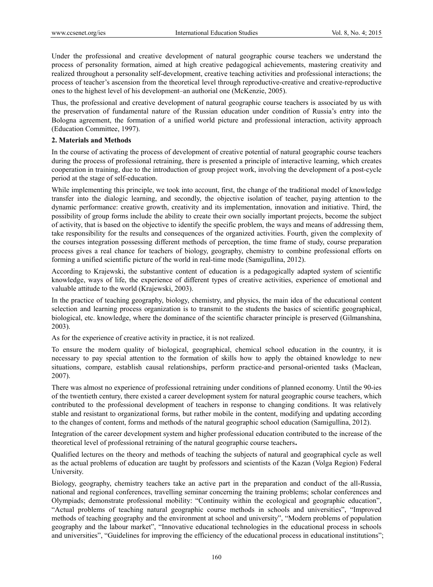Under the professional and creative development of natural geographic course teachers we understand the process of personality formation, aimed at high creative pedagogical achievements, mastering creativity and realized throughout a personality self-development, creative teaching activities and professional interactions; the process of teacher's ascension from the theoretical level through reproductive-creative and creative-reproductive ones to the highest level of his development–an authorial one (McKenzie, 2005).

Thus, the professional and creative development of natural geographic course teachers is associated by us with the preservation of fundamental nature of the Russian education under condition of Russia's entry into the Bologna agreement, the formation of a unified world picture and professional interaction, activity approach (Education Committee, 1997).

## **2. Materials and Methods**

In the course of activating the process of development of creative potential of natural geographic course teachers during the process of professional retraining, there is presented a principle of interactive learning, which creates cooperation in training, due to the introduction of group project work, involving the development of a post-cycle period at the stage of self-education.

While implementing this principle, we took into account, first, the change of the traditional model of knowledge transfer into the dialogic learning, and secondly, the objective isolation of teacher, paying attention to the dynamic performance: creative growth, creativity and its implementation, innovation and initiative. Third, the possibility of group forms include the ability to create their own socially important projects, become the subject of activity, that is based on the objective to identify the specific problem, the ways and means of addressing them, take responsibility for the results and consequences of the organized activities. Fourth, given the complexity of the courses integration possessing different methods of perception, the time frame of study, course preparation process gives a real chance for teachers of biology, geography, chemistry to combine professional efforts on forming a unified scientific picture of the world in real-time mode (Samigullina, 2012).

According to Krajewski, the substantive content of education is a pedagogically adapted system of scientific knowledge, ways of life, the experience of different types of creative activities, experience of emotional and valuable attitude to the world (Krajewski, 2003).

In the practice of teaching geography, biology, chemistry, and physics, the main idea of the educational content selection and learning process organization is to transmit to the students the basics of scientific geographical, biological, etc. knowledge, where the dominance of the scientific character principle is preserved (Gilmanshina, 2003).

As for the experience of creative activity in practice, it is not realized.

To ensure the modern quality of biological, geographical, chemical school education in the country, it is necessary to pay special attention to the formation of skills how to apply the obtained knowledge to new situations, compare, establish causal relationships, perform practice-and personal-oriented tasks (Maclean, 2007).

There was almost no experience of professional retraining under conditions of planned economy. Until the 90-ies of the twentieth century, there existed a career development system for natural geographic course teachers, which contributed to the professional development of teachers in response to changing conditions. It was relatively stable and resistant to organizational forms, but rather mobile in the content, modifying and updating according to the changes of content, forms and methods of the natural geographic school education (Samigullina, 2012).

Integration of the career development system and higher professional education contributed to the increase of the theoretical level of professional retraining of the natural geographic course teachers.

Qualified lectures on the theory and methods of teaching the subjects of natural and geographical cycle as well as the actual problems of education are taught by professors and scientists of the Kazan (Volga Region) Federal University.

Biology, geography, chemistry teachers take an active part in the preparation and conduct of the all-Russia, national and regional conferences, travelling seminar concerning the training problems; scholar conferences and Olympiads; demonstrate professional mobility: "Continuity within the ecological and geographic education", "Actual problems of teaching natural geographic course methods in schools and universities", "Improved methods of teaching geography and the environment at school and university", "Modern problems of population geography and the labour market", "Innovative educational technologies in the educational process in schools and universities", "Guidelines for improving the efficiency of the educational process in educational institutions";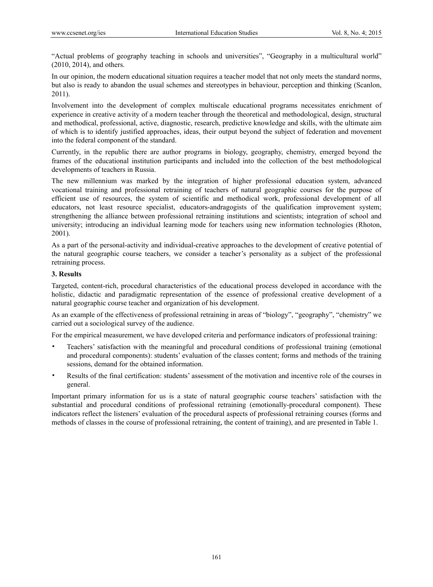"Actual problems of geography teaching in schools and universities", "Geography in a multicultural world" (2010, 2014), and others.

In our opinion, the modern educational situation requires a teacher model that not only meets the standard norms, but also is ready to abandon the usual schemes and stereotypes in behaviour, perception and thinking (Scanlon, 2011).

Involvement into the development of complex multiscale educational programs necessitates enrichment of experience in creative activity of a modern teacher through the theoretical and methodological, design, structural and methodical, professional, active, diagnostic, research, predictive knowledge and skills, with the ultimate aim of which is to identify justified approaches, ideas, their output beyond the subject of federation and movement into the federal component of the standard.

Currently, in the republic there are author programs in biology, geography, chemistry, emerged beyond the frames of the educational institution participants and included into the collection of the best methodological developments of teachers in Russia.

The new millennium was marked by the integration of higher professional education system, advanced vocational training and professional retraining of teachers of natural geographic courses for the purpose of efficient use of resources, the system of scientific and methodical work, professional development of all educators, not least resource specialist, educators-andragogists of the qualification improvement system; strengthening the alliance between professional retraining institutions and scientists; integration of school and university; introducing an individual learning mode for teachers using new information technologies (Rhoton, 2001).

As a part of the personal-activity and individual-creative approaches to the development of creative potential of the natural geographic course teachers, we consider a teacher's personality as a subject of the professional retraining process.

## **3. Results**

Targeted, content-rich, procedural characteristics of the educational process developed in accordance with the holistic, didactic and paradigmatic representation of the essence of professional creative development of a natural geographic course teacher and organization of his development.

As an example of the effectiveness of professional retraining in areas of "biology", "geography", "chemistry" we carried out a sociological survey of the audience.

For the empirical measurement, we have developed criteria and performance indicators of professional training:

- Teachers' satisfaction with the meaningful and procedural conditions of professional training (emotional and procedural components): students' evaluation of the classes content; forms and methods of the training sessions, demand for the obtained information.
- Results of the final certification: students' assessment of the motivation and incentive role of the courses in general.

Important primary information for us is a state of natural geographic course teachers' satisfaction with the substantial and procedural conditions of professional retraining (emotionally-procedural component). These indicators reflect the listeners' evaluation of the procedural aspects of professional retraining courses (forms and methods of classes in the course of professional retraining, the content of training), and are presented in Table 1.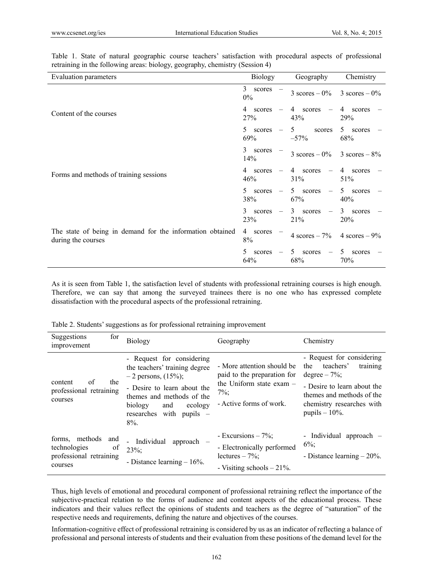| Evaluation parameters                                                           | Biology                                         | Geography                                   | Chemistry                |
|---------------------------------------------------------------------------------|-------------------------------------------------|---------------------------------------------|--------------------------|
|                                                                                 | 3<br>scores<br>$0\%$                            | $3 \text{ scores} - 0\%$                    | $3 \text{ scores} - 0\%$ |
| Content of the courses                                                          | 4<br>scores<br>27%                              | 4 scores<br>43%                             | 4<br>scores<br>29%       |
|                                                                                 | 5.<br>scores<br>69%                             | 5<br>scores<br>$-57%$                       | 5 scores<br>68%          |
| Forms and methods of training sessions                                          | 3<br>scores<br>14%                              | $3 \text{ scores} - 0\%$ 3 scores $-8\%$    |                          |
|                                                                                 | 4 scores<br>46%                                 | 4 scores<br>31%                             | 4 scores<br>51%          |
|                                                                                 | 5.<br>scores<br>$\overline{\phantom{a}}$<br>38% | 5 scores<br>$\overline{\phantom{a}}$<br>67% | 5 scores<br>40%          |
|                                                                                 | 3<br>scores<br>$\overline{\phantom{m}}$<br>23%  | 3 scores<br>$\overline{\phantom{m}}$<br>21% | 3 scores<br>20%          |
| The state of being in demand for the information obtained<br>during the courses | 4 scores<br>8%                                  | 4 scores $-7\%$                             | 4 scores $-9\%$          |
|                                                                                 | 5.<br>scores<br>64%                             | 5 scores<br>68%                             | 5<br>scores<br>70%       |

Table 1. State of natural geographic course teachers' satisfaction with procedural aspects of professional retraining in the following areas: biology, geography, chemistry (Session 4)

As it is seen from Table 1, the satisfaction level of students with professional retraining courses is high enough. Therefore, we can say that among the surveyed trainees there is no one who has expressed complete dissatisfaction with the procedural aspects of the professional retraining.

Table 2. Students' suggestions as for professional retraining improvement

| for<br>Suggestions<br>improvement                                                               | <b>Biology</b>                                                                                                                                                                                                        | Geography                                                                                                                   | Chemistry                                                                                                                                                                                 |
|-------------------------------------------------------------------------------------------------|-----------------------------------------------------------------------------------------------------------------------------------------------------------------------------------------------------------------------|-----------------------------------------------------------------------------------------------------------------------------|-------------------------------------------------------------------------------------------------------------------------------------------------------------------------------------------|
| the<br>of<br>content<br>professional retraining<br>courses                                      | - Request for considering<br>the teachers' training degree<br>$-2$ persons, $(15%)$ ;<br>- Desire to learn about the<br>themes and methods of the<br>biology<br>ecology<br>and<br>researches with pupils –<br>$8\%$ . | - More attention should be<br>paid to the preparation for<br>the Uniform state exam -<br>$7\%$ :<br>- Active forms of work. | - Request for considering<br>teachers'<br>training<br>the<br>degree $-7\%$ ;<br>- Desire to learn about the<br>themes and methods of the<br>chemistry researches with<br>pupils $-10\%$ . |
| methods<br>forms.<br>and<br>technologies<br><sub>of</sub><br>professional retraining<br>courses | Individual<br>approach $-$<br>$23\%$ :<br>- Distance learning $-16%$ .                                                                                                                                                | - Excursions $-7\%$ ;<br>- Electronically performed<br>lectures $-7\%$ :<br>- Visiting schools $-21\%$ .                    | - Individual approach -<br>$6\%$ ;<br>- Distance learning $-20\%$ .                                                                                                                       |

Thus, high levels of emotional and procedural component of professional retraining reflect the importance of the subjective-practical relation to the forms of audience and content aspects of the educational process. These indicators and their values reflect the opinions of students and teachers as the degree of "saturation" of the respective needs and requirements, defining the nature and objectives of the courses.

Information-cognitive effect of professional retraining is considered by us as an indicator of reflecting a balance of professional and personal interests of students and their evaluation from these positions of the demand level for the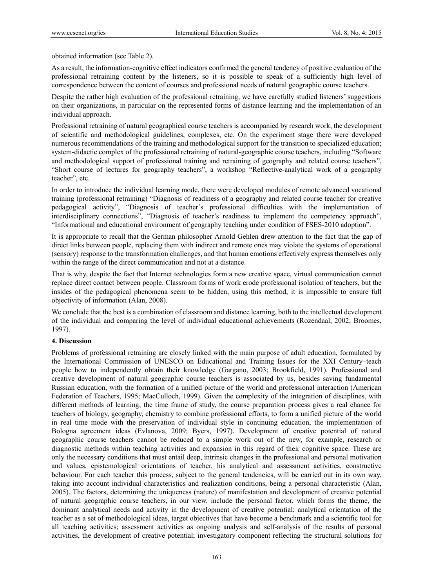obtained information (see Table 2).

As a result, the information-cognitive effect indicators confirmed the general tendency of positive evaluation of the professional retraining content by the listeners, so it is possible to speak of a sufficiently high level of correspondence between the content of courses and professional needs of natural geographic course teachers.

Despite the rather high evaluation of the professional retraining, we have carefully studied listeners' suggestions on their organizations, in particular on the represented forms of distance learning and the implementation of an individual approach.

Professional retraining of natural geographical course teachers is accompanied by research work, the development of scientific and methodological guidelines, complexes, etc. On the experiment stage there were developed numerous recommendations of the training and methodological support for the transition to specialized education; system-didactic complex of the professional retraining of natural-geographic course teachers, including "Software and methodological support of professional training and retraining of geography and related course teachers", "Short course of lectures for geography teachers", a workshop "Reflective-analytical work of a geography teacher", etc.

In order to introduce the individual learning mode, there were developed modules of remote advanced vocational training (professional retraining) "Diagnosis of readiness of a geography and related course teacher for creative pedagogical activity", "Diagnosis of teacher's professional difficulties with the implementation of interdisciplinary connections", "Diagnosis of teacher's readiness to implement the competency approach", "Informational and educational environment of geography teaching under condition of FSES-2010 adoption".

It is appropriate to recall that the German philosopher Arnold Gehlen drew attention to the fact that the gap of direct links between people, replacing them with indirect and remote ones may violate the systems of operational (sensory) response to the transformation challenges, and that human emotions effectively express themselves only within the range of the direct communication and not at a distance.

That is why, despite the fact that Internet technologies form a new creative space, virtual communication cannot replace direct contact between people. Classroom forms of work erode professional isolation of teachers, but the insides of the pedagogical phenomena seem to be hidden, using this method, it is impossible to ensure full objectivity of information (Alan, 2008).

We conclude that the best is a combination of classroom and distance learning, both to the intellectual development of the individual and comparing the level of individual educational achievements (Rozendaal, 2002; Broomes, 1997).

## **4. Discussion**

Problems of professional retraining are closely linked with the main purpose of adult education, formulated by the International Commission of UNESCO on Educational and Training Issues for the XXI Century–teach people how to independently obtain their knowledge (Gargano, 2003; Brookfield, 1991). Professional and creative development of natural geographic course teachers is associated by us, besides saving fundamental Russian education, with the formation of a unified picture of the world and professional interaction (American Federation of Teachers, 1995; MacCulloch, 1999). Given the complexity of the integration of disciplines, with different methods of learning, the time frame of study, the course preparation process gives a real chance for teachers of biology, geography, chemistry to combine professional efforts, to form a unified picture of the world in real time mode with the preservation of individual style in continuing education, the implementation of Bologna agreement ideas (Evlanova, 2009; Byers, 1997). Development of creative potential of natural geographic course teachers cannot be reduced to a simple work out of the new, for example, research or diagnostic methods within teaching activities and expansion in this regard of their cognitive space. These are only the necessary conditions that must entail deep, intrinsic changes in the professional and personal motivation and values, epistemological orientations of teacher, his analytical and assessment activities, constructive behaviour. For each teacher this process, subject to the general tendencies, will be carried out in its own way, taking into account individual characteristics and realization conditions, being a personal characteristic (Alan, 2005). The factors, determining the uniqueness (nature) of manifestation and development of creative potential of natural geographic course teachers, in our view, include the personal factor, which forms the theme, the dominant analytical needs and activity in the development of creative potential; analytical orientation of the teacher as a set of methodological ideas, target objectives that have become a benchmark and a scientific tool for all teaching activities; assessment activities as ongoing analysis and self-analysis of the results of personal activities, the development of creative potential; investigatory component reflecting the structural solutions for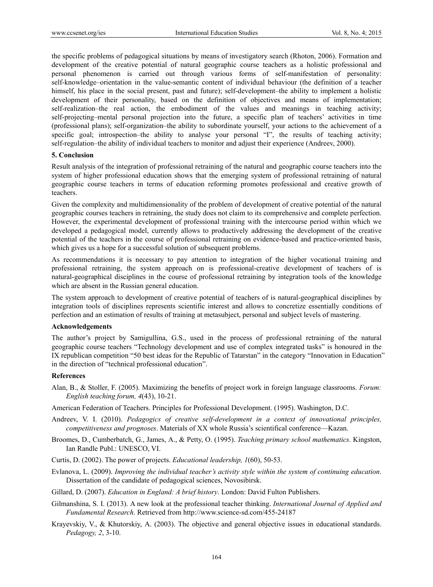the specific problems of pedagogical situations by means of investigatory search (Rhoton, 2006). Formation and development of the creative potential of natural geographic course teachers as a holistic professional and personal phenomenon is carried out through various forms of self-manifestation of personality: self-knowledge–orientation in the value-semantic content of individual behaviour (the definition of a teacher himself, his place in the social present, past and future); self-development–the ability to implement a holistic development of their personality, based on the definition of objectives and means of implementation; self-realization–the real action, the embodiment of the values and meanings in teaching activity; self-projecting–mental personal projection into the future, a specific plan of teachers' activities in time (professional plans); self-organization–the ability to subordinate yourself, your actions to the achievement of a specific goal; introspection–the ability to analyse your personal "I", the results of teaching activity; self-regulation–the ability of individual teachers to monitor and adjust their experience (Andreev, 2000).

### **5. Conclusion**

Result analysis of the integration of professional retraining of the natural and geographic course teachers into the system of higher professional education shows that the emerging system of professional retraining of natural geographic course teachers in terms of education reforming promotes professional and creative growth of teachers.

Given the complexity and multidimensionality of the problem of development of creative potential of the natural geographic courses teachers in retraining, the study does not claim to its comprehensive and complete perfection. However, the experimental development of professional training with the intercourse period within which we developed a pedagogical model, currently allows to productively addressing the development of the creative potential of the teachers in the course of professional retraining on evidence-based and practice-oriented basis, which gives us a hope for a successful solution of subsequent problems.

As recommendations it is necessary to pay attention to integration of the higher vocational training and professional retraining, the system approach on is professional-creative development of teachers of is natural-geographical disciplines in the course of professional retraining by integration tools of the knowledge which are absent in the Russian general education.

The system approach to development of creative potential of teachers of is natural-geographical disciplines by integration tools of disciplines represents scientific interest and allows to concretize essentially conditions of perfection and an estimation of results of training at metasubject, personal and subject levels of mastering.

#### **Acknowledgements**

The author's project by Samigullina, G.S., used in the process of professional retraining of the natural geographic course teachers "Technology development and use of complex integrated tasks" is honoured in the IX republican competition "50 best ideas for the Republic of Tatarstan" in the category "Innovation in Education" in the direction of "technical professional education".

#### **References**

- Alan, В., & Stoller, F. (2005). Maximizing the benefits of project work in foreign language classrooms. *Forum: English teaching forum, 4*(43), 10-21.
- American Federation of Teachers. Principles for Professional Development. (1995). Washington, D.C.
- Andreev, V. I. (2010). *Pedagogics of creative self-development in a context of innovational principles, competitiveness and prognoses*. Materials of XX whole Russia's scientifical conference—Kazan.
- Broomes, D., Cumberbatch, G., James, A., & Petty, O. (1995). *Teaching primary school mathematics*. Kingston, Ian Randle Publ.: UNESCO, VI.
- Curtis, D. (2002). The power of projects. *Educational leadership, 1*(60), 50-53.
- Evlanova, L. (2009). *Improving the individual teacher's activity style within the system of continuing education*. Dissertation of the candidate of pedagogical sciences, Novosibirsk.
- Gillard, D. (2007). *Education in England: A brief history*. London: David Fulton Publishers.
- Gilmanshina, S. I. (2013). A new look at the professional teacher thinking. *International Journal of Applied and Fundamental Research*. Retrieved from http://www.science-sd.com/455-24187
- Krayevskiy, V., & Khutorskiy, A. (2003). The objective and general objective issues in educational standards. *Pedagogy, 2*, 3-10.